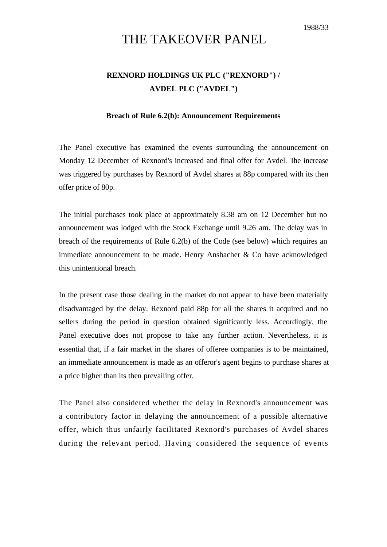## THE TAKEOVER PANEL

## **REXNORD HOLDINGS UK PLC ("REXNORD") / AVDEL PLC ("AVDEL")**

## **Breach of Rule 6.2(b): Announcement Requirements**

The Panel executive has examined the events surrounding the announcement on Monday 12 December of Rexnord's increased and final offer for Avdel. The increase was triggered by purchases by Rexnord of Avdel shares at 88p compared with its then offer price of 80p.

The initial purchases took place at approximately 8.38 am on 12 December but no announcement was lodged with the Stock Exchange until 9.26 am. The delay was in breach of the requirements of Rule 6.2(b) of the Code (see below) which requires an immediate announcement to be made. Henry Ansbacher & Co have acknowledged this unintentional breach.

In the present case those dealing in the market do not appear to have been materially disadvantaged by the delay. Rexnord paid 88p for all the shares it acquired and no sellers during the period in question obtained significantly less. Accordingly, the Panel executive does not propose to take any further action. Nevertheless, it is essential that, if a fair market in the shares of offeree companies is to be maintained, an immediate announcement is made as an offeror's agent begins to purchase shares at a price higher than its then prevailing offer.

The Panel also considered whether the delay in Rexnord's announcement was a contributory factor in delaying the announcement of a possible alternative offer, which thus unfairly facilitated Rexnord's purchases of Avdel shares during the relevant period. Having considered the sequence of events